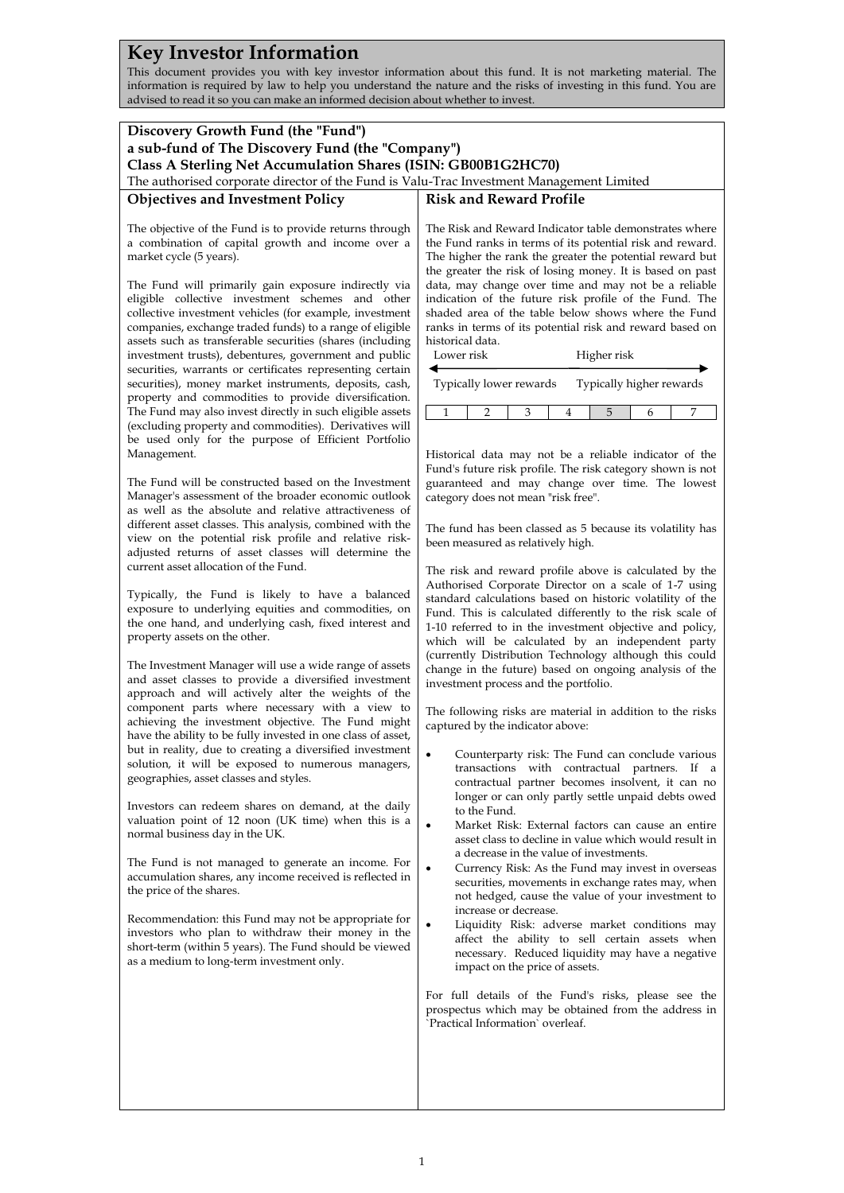## **Key Investor Information**

This document provides you with key investor information about this fund. It is not marketing material. The information is required by law to help you understand the nature and the risks of investing in this fund. You are advised to read it so you can make an informed decision about whether to invest.

| Discovery Growth Fund (the "Fund")<br>a sub-fund of The Discovery Fund (the "Company")                                                                                                                                                                                                                                                                                                                                                                                                                                                                                                                                                                                                                                                                                                                                                                                                                                                                                                                                                                                                                                                                                                                                                                                                                                                                                                                                                                                                                                                                                                                                                                                                                                                                                                                                                                                                                                                                                                                                                                                                                                                                                                                                                                                                                                                                                                                                                                                                                             |                                                                                                                                                                                                                                                                                                                                                                                                                                                                                                                                                                                                                                                                                                                                                                                                                                                                                                                                                                                                                                                                                                                                                                                                                                                                                                                                                                                                                                                                                                                                                                                                                                                                                                                                                                                                                                                                                                                                                                                                                                                                                                                                                                                                                                                                                                                                                                                                                                                                                                                                                         |  |
|--------------------------------------------------------------------------------------------------------------------------------------------------------------------------------------------------------------------------------------------------------------------------------------------------------------------------------------------------------------------------------------------------------------------------------------------------------------------------------------------------------------------------------------------------------------------------------------------------------------------------------------------------------------------------------------------------------------------------------------------------------------------------------------------------------------------------------------------------------------------------------------------------------------------------------------------------------------------------------------------------------------------------------------------------------------------------------------------------------------------------------------------------------------------------------------------------------------------------------------------------------------------------------------------------------------------------------------------------------------------------------------------------------------------------------------------------------------------------------------------------------------------------------------------------------------------------------------------------------------------------------------------------------------------------------------------------------------------------------------------------------------------------------------------------------------------------------------------------------------------------------------------------------------------------------------------------------------------------------------------------------------------------------------------------------------------------------------------------------------------------------------------------------------------------------------------------------------------------------------------------------------------------------------------------------------------------------------------------------------------------------------------------------------------------------------------------------------------------------------------------------------------|---------------------------------------------------------------------------------------------------------------------------------------------------------------------------------------------------------------------------------------------------------------------------------------------------------------------------------------------------------------------------------------------------------------------------------------------------------------------------------------------------------------------------------------------------------------------------------------------------------------------------------------------------------------------------------------------------------------------------------------------------------------------------------------------------------------------------------------------------------------------------------------------------------------------------------------------------------------------------------------------------------------------------------------------------------------------------------------------------------------------------------------------------------------------------------------------------------------------------------------------------------------------------------------------------------------------------------------------------------------------------------------------------------------------------------------------------------------------------------------------------------------------------------------------------------------------------------------------------------------------------------------------------------------------------------------------------------------------------------------------------------------------------------------------------------------------------------------------------------------------------------------------------------------------------------------------------------------------------------------------------------------------------------------------------------------------------------------------------------------------------------------------------------------------------------------------------------------------------------------------------------------------------------------------------------------------------------------------------------------------------------------------------------------------------------------------------------------------------------------------------------------------------------------------------------|--|
| Class A Sterling Net Accumulation Shares (ISIN: GB00B1G2HC70)<br>The authorised corporate director of the Fund is Valu-Trac Investment Management Limited                                                                                                                                                                                                                                                                                                                                                                                                                                                                                                                                                                                                                                                                                                                                                                                                                                                                                                                                                                                                                                                                                                                                                                                                                                                                                                                                                                                                                                                                                                                                                                                                                                                                                                                                                                                                                                                                                                                                                                                                                                                                                                                                                                                                                                                                                                                                                          |                                                                                                                                                                                                                                                                                                                                                                                                                                                                                                                                                                                                                                                                                                                                                                                                                                                                                                                                                                                                                                                                                                                                                                                                                                                                                                                                                                                                                                                                                                                                                                                                                                                                                                                                                                                                                                                                                                                                                                                                                                                                                                                                                                                                                                                                                                                                                                                                                                                                                                                                                         |  |
| <b>Objectives and Investment Policy</b>                                                                                                                                                                                                                                                                                                                                                                                                                                                                                                                                                                                                                                                                                                                                                                                                                                                                                                                                                                                                                                                                                                                                                                                                                                                                                                                                                                                                                                                                                                                                                                                                                                                                                                                                                                                                                                                                                                                                                                                                                                                                                                                                                                                                                                                                                                                                                                                                                                                                            | <b>Risk and Reward Profile</b>                                                                                                                                                                                                                                                                                                                                                                                                                                                                                                                                                                                                                                                                                                                                                                                                                                                                                                                                                                                                                                                                                                                                                                                                                                                                                                                                                                                                                                                                                                                                                                                                                                                                                                                                                                                                                                                                                                                                                                                                                                                                                                                                                                                                                                                                                                                                                                                                                                                                                                                          |  |
| The objective of the Fund is to provide returns through<br>a combination of capital growth and income over a<br>market cycle (5 years).<br>The Fund will primarily gain exposure indirectly via<br>eligible collective investment schemes and other<br>collective investment vehicles (for example, investment<br>companies, exchange traded funds) to a range of eligible<br>assets such as transferable securities (shares (including<br>investment trusts), debentures, government and public<br>securities, warrants or certificates representing certain<br>securities), money market instruments, deposits, cash,<br>property and commodities to provide diversification.<br>The Fund may also invest directly in such eligible assets<br>(excluding property and commodities). Derivatives will<br>be used only for the purpose of Efficient Portfolio<br>Management.<br>The Fund will be constructed based on the Investment<br>Manager's assessment of the broader economic outlook<br>as well as the absolute and relative attractiveness of<br>different asset classes. This analysis, combined with the<br>view on the potential risk profile and relative risk-<br>adjusted returns of asset classes will determine the<br>current asset allocation of the Fund.<br>Typically, the Fund is likely to have a balanced<br>exposure to underlying equities and commodities, on<br>the one hand, and underlying cash, fixed interest and<br>property assets on the other.<br>The Investment Manager will use a wide range of assets<br>and asset classes to provide a diversified investment<br>approach and will actively alter the weights of the<br>component parts where necessary with a view to<br>achieving the investment objective. The Fund might<br>have the ability to be fully invested in one class of asset,<br>but in reality, due to creating a diversified investment<br>solution, it will be exposed to numerous managers,<br>geographies, asset classes and styles.<br>Investors can redeem shares on demand, at the daily<br>valuation point of 12 noon (UK time) when this is a<br>normal business day in the UK.<br>The Fund is not managed to generate an income. For<br>accumulation shares, any income received is reflected in<br>the price of the shares.<br>Recommendation: this Fund may not be appropriate for<br>investors who plan to withdraw their money in the<br>short-term (within 5 years). The Fund should be viewed<br>as a medium to long-term investment only. | The Risk and Reward Indicator table demonstrates where<br>the Fund ranks in terms of its potential risk and reward.<br>The higher the rank the greater the potential reward but<br>the greater the risk of losing money. It is based on past<br>data, may change over time and may not be a reliable<br>indication of the future risk profile of the Fund. The<br>shaded area of the table below shows where the Fund<br>ranks in terms of its potential risk and reward based on<br>historical data.<br>Higher risk<br>Lower risk<br>◀<br>Typically higher rewards<br>Typically lower rewards<br>$\mathbf{1}$<br>5<br>2<br>3<br>4<br>6<br>7<br>Historical data may not be a reliable indicator of the<br>Fund's future risk profile. The risk category shown is not<br>guaranteed and may change over time. The lowest<br>category does not mean "risk free".<br>The fund has been classed as 5 because its volatility has<br>been measured as relatively high.<br>The risk and reward profile above is calculated by the<br>Authorised Corporate Director on a scale of 1-7 using<br>standard calculations based on historic volatility of the<br>Fund. This is calculated differently to the risk scale of<br>1-10 referred to in the investment objective and policy,<br>which will be calculated by an independent party<br>(currently Distribution Technology although this could<br>change in the future) based on ongoing analysis of the<br>investment process and the portfolio.<br>The following risks are material in addition to the risks<br>captured by the indicator above:<br>Counterparty risk: The Fund can conclude various<br>transactions with contractual partners. If a<br>contractual partner becomes insolvent, it can no<br>longer or can only partly settle unpaid debts owed<br>to the Fund.<br>Market Risk: External factors can cause an entire<br>٠<br>asset class to decline in value which would result in<br>a decrease in the value of investments.<br>$\bullet$<br>Currency Risk: As the Fund may invest in overseas<br>securities, movements in exchange rates may, when<br>not hedged, cause the value of your investment to<br>increase or decrease.<br>Liquidity Risk: adverse market conditions may<br>$\bullet$<br>affect the ability to sell certain assets when<br>necessary. Reduced liquidity may have a negative<br>impact on the price of assets.<br>For full details of the Fund's risks, please see the<br>prospectus which may be obtained from the address in<br>'Practical Information' overleaf. |  |
|                                                                                                                                                                                                                                                                                                                                                                                                                                                                                                                                                                                                                                                                                                                                                                                                                                                                                                                                                                                                                                                                                                                                                                                                                                                                                                                                                                                                                                                                                                                                                                                                                                                                                                                                                                                                                                                                                                                                                                                                                                                                                                                                                                                                                                                                                                                                                                                                                                                                                                                    |                                                                                                                                                                                                                                                                                                                                                                                                                                                                                                                                                                                                                                                                                                                                                                                                                                                                                                                                                                                                                                                                                                                                                                                                                                                                                                                                                                                                                                                                                                                                                                                                                                                                                                                                                                                                                                                                                                                                                                                                                                                                                                                                                                                                                                                                                                                                                                                                                                                                                                                                                         |  |